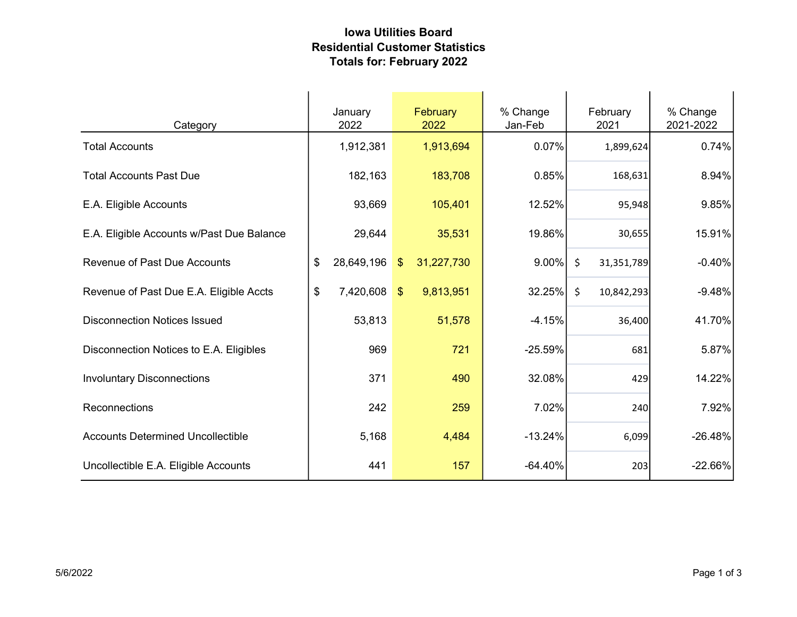## Iowa Utilities Board Residential Customer Statistics Totals for: February 2022

| Category                                  | January<br>2022  | February<br>2022            | % Change<br>Jan-Feb |         | February<br>2021 | % Change<br>2021-2022 |
|-------------------------------------------|------------------|-----------------------------|---------------------|---------|------------------|-----------------------|
| <b>Total Accounts</b>                     | 1,912,381        | 1,913,694                   | 0.07%               |         | 1,899,624        | 0.74%                 |
| <b>Total Accounts Past Due</b>            | 182,163          | 183,708                     | 0.85%               |         | 168,631          | 8.94%                 |
| E.A. Eligible Accounts                    | 93,669           | 105,401                     | 12.52%              |         | 95,948           | 9.85%                 |
| E.A. Eligible Accounts w/Past Due Balance | 29,644           | 35,531                      | 19.86%              |         | 30,655           | 15.91%                |
| <b>Revenue of Past Due Accounts</b>       | \$<br>28,649,196 | 31,227,730<br>$\sqrt[6]{3}$ | $9.00\%$            | $\zeta$ | 31,351,789       | $-0.40%$              |
| Revenue of Past Due E.A. Eligible Accts   | \$<br>7,420,608  | \$<br>9,813,951             | 32.25%              | \$      | 10,842,293       | $-9.48%$              |
| <b>Disconnection Notices Issued</b>       | 53,813           | 51,578                      | $-4.15%$            |         | 36,400           | 41.70%                |
| Disconnection Notices to E.A. Eligibles   | 969              | 721                         | $-25.59%$           |         | 681              | 5.87%                 |
| <b>Involuntary Disconnections</b>         | 371              | 490                         | 32.08%              |         | 429              | 14.22%                |
| Reconnections                             | 242              | 259                         | 7.02%               |         | 240              | 7.92%                 |
| <b>Accounts Determined Uncollectible</b>  | 5,168            | 4,484                       | $-13.24%$           |         | 6,099            | $-26.48%$             |
| Uncollectible E.A. Eligible Accounts      | 441              | 157                         | $-64.40%$           |         | 203              | $-22.66%$             |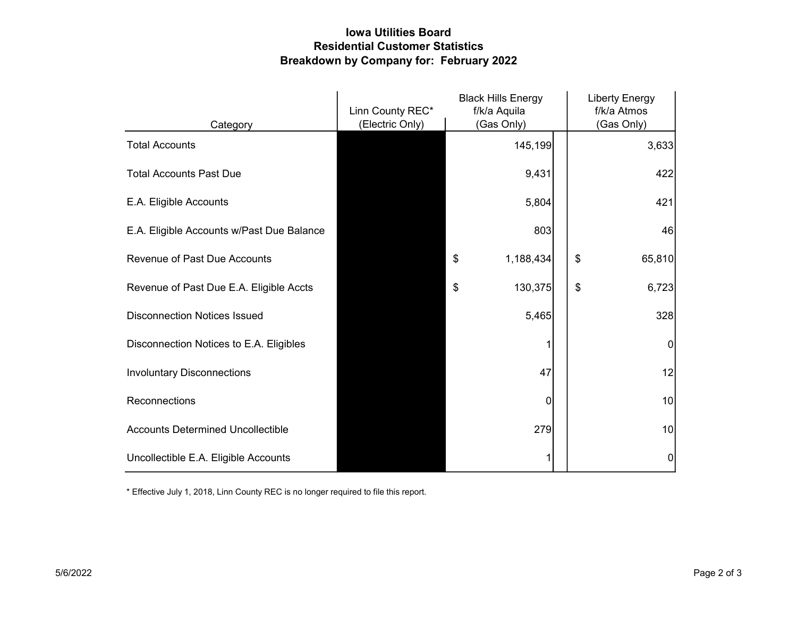## Iowa Utilities Board Residential Customer Statistics Breakdown by Company for: February 2022

|                                           | Linn County REC* | <b>Black Hills Energy</b><br>f/k/a Aquila |   | <b>Liberty Energy</b><br>f/k/a Atmos |
|-------------------------------------------|------------------|-------------------------------------------|---|--------------------------------------|
| Category                                  | (Electric Only)  | (Gas Only)                                |   | (Gas Only)                           |
| <b>Total Accounts</b>                     |                  | 145,199                                   |   | 3,633                                |
| <b>Total Accounts Past Due</b>            |                  | 9,431                                     |   | 422                                  |
| E.A. Eligible Accounts                    |                  | 5,804                                     |   | 421                                  |
| E.A. Eligible Accounts w/Past Due Balance |                  | 803                                       |   | 46                                   |
| <b>Revenue of Past Due Accounts</b>       |                  | \$<br>1,188,434                           |   | \$<br>65,810                         |
| Revenue of Past Due E.A. Eligible Accts   |                  | \$<br>130,375                             |   | \$<br>6,723                          |
| <b>Disconnection Notices Issued</b>       |                  | 5,465                                     |   | 328                                  |
| Disconnection Notices to E.A. Eligibles   |                  |                                           |   | $\mathbf{0}$                         |
| <b>Involuntary Disconnections</b>         |                  | 47                                        |   | 12                                   |
| Reconnections                             |                  |                                           | 0 | 10                                   |
| <b>Accounts Determined Uncollectible</b>  |                  | 279                                       |   | 10                                   |
| Uncollectible E.A. Eligible Accounts      |                  |                                           |   | 0                                    |

\* Effective July 1, 2018, Linn County REC is no longer required to file this report.